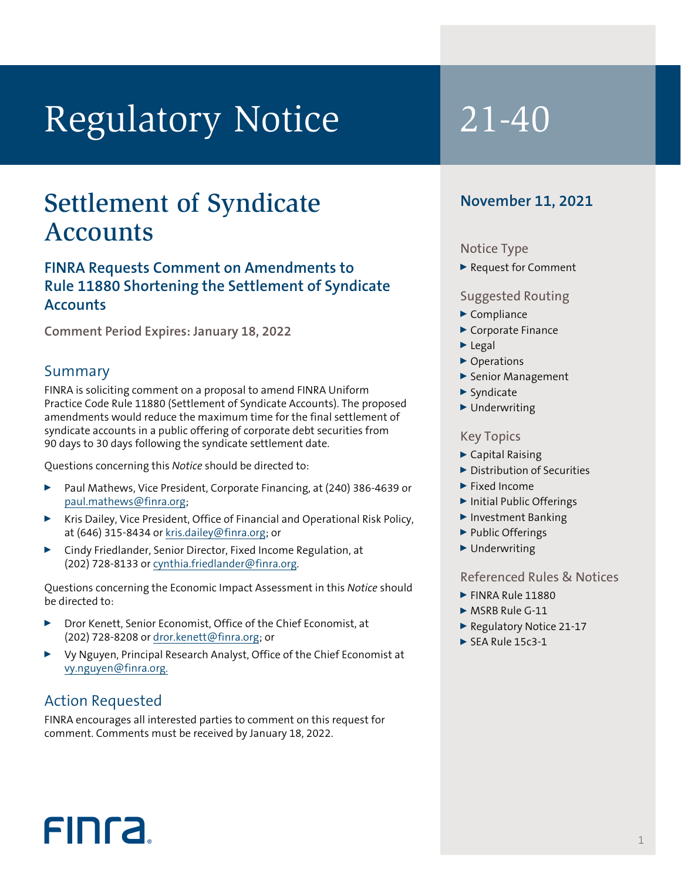# Regulatory Notice 21-40

## Settlement of Syndicate Accounts

## **FINRA Requests Comment on Amendments to Rule 11880 Shortening the Settlement of Syndicate Accounts**

**Comment Period Expires: January 18, 2022**

## Summary

FINRA is soliciting comment on a proposal to amend FINRA Uniform Practice Code Rule 11880 (Settlement of Syndicate Accounts). The proposed amendments would reduce the maximum time for the final settlement of syndicate accounts in a public offering of corporate debt securities from 90 days to 30 days following the syndicate settlement date.

Questions concerning this *Notice* should be directed to:

- <sup>0</sup> Paul Mathews, Vice President, Corporate Financing, at (240) 386-4639 or paul.mathews@finra.org;
- Kris Dailey, Vice President, Office of Financial and Operational Risk Policy, at (646) 315-8434 or [kris.dailey@finra.org;](mailto:kris.dailey@finra.org) or
- <sup>0</sup> Cindy Friedlander, Senior Director, Fixed Income Regulation, at (202) 728-8133 or cynthia.friedlander@finra.org.

Questions concerning the Economic Impact Assessment in this *Notice* should be directed to:

- <sup>0</sup> Dror Kenett, Senior Economist, Office of the Chief Economist, at (202) 728-8208 or [dror.kenett@finra.org](mailto:dror.kenett@finra.org); or
- <sup>0</sup> Vy Nguyen, Principal Research Analyst, Office of the Chief Economist at vy.nguyen@finra.org.

## Action Requested

FIN<sub>ra</sub>

FINRA encourages all interested parties to comment on this request for comment. Comments must be received by January 18, 2022.

## **November 11, 2021**

#### Notice Type

Request for Comment

#### Suggested Routing

- $\blacktriangleright$  Compliance
- ▶ Corporate Finance
- $\blacktriangleright$  Legal
- ▶ Operations
- ▶ Senior Management
- $\blacktriangleright$  Syndicate
- $\blacktriangleright$  Underwriting

#### Key Topics

- $\blacktriangleright$  Capital Raising
- Distribution of Securities
- $\blacktriangleright$  Fixed Income
- ▶ Initial Public Offerings
- <sup>0</sup> Investment Banking
- ▶ Public Offerings
- $\blacktriangleright$  Underwriting

#### Referenced Rules & Notices

1

- **FINRA Rule 11880**
- $\triangleright$  MSRB Rule G-11
- ▶ Regulatory Notice 21-17
- $\triangleright$  SEA Rule 15c3-1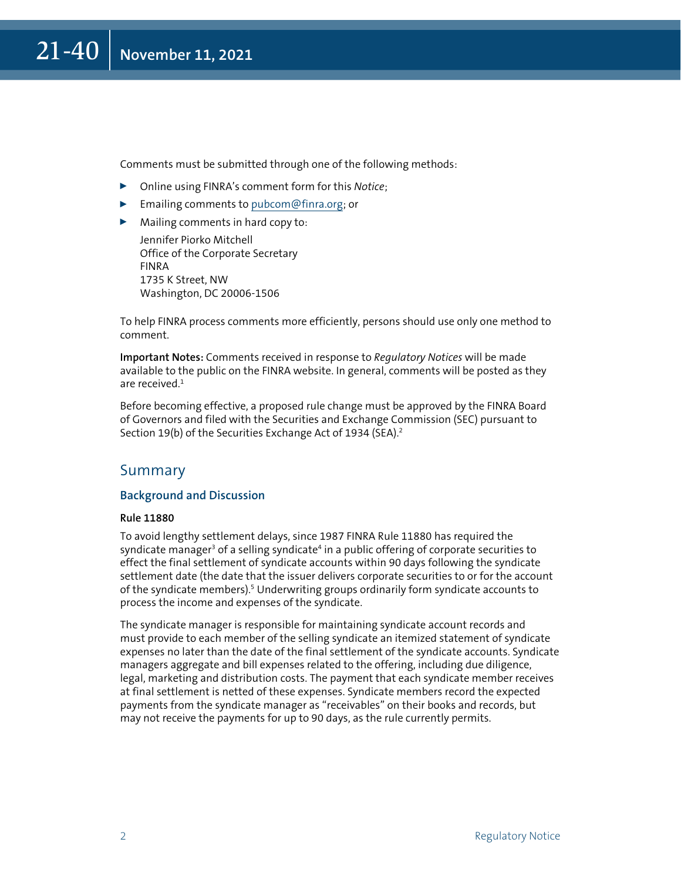Comments must be submitted through one of the following methods:

- <sup>0</sup> Online using FINRA's comment form for this *Notice*;
- $\blacktriangleright$  Emailing comments to [pubcom@finra.org](mailto:pubcom@finra.org); or
- $\blacktriangleright$  Mailing comments in hard copy to:

Jennifer Piorko Mitchell Office of the Corporate Secretary FINRA 1735 K Street, NW Washington, DC 20006-1506

To help FINRA process comments more efficiently, persons should use only one method to comment.

**Important Notes:** Comments received in response to *Regulatory Notices* will be made available to the public on the FINRA website. In general, comments will be posted as they are received.<sup>1</sup>

Before becoming effective, a proposed rule change must be approved by the FINRA Board of Governors and filed with the Securities and Exchange Commission (SEC) pursuant to Section 19(b) of the Securities Exchange Act of 1934 (SEA).<sup>2</sup>

#### Summary

#### **Background and Discussion**

#### **Rule 11880**

To avoid lengthy settlement delays, since 1987 FINRA Rule 11880 has required the syndicate manager<sup>3</sup> of a selling syndicate<sup>4</sup> in a public offering of corporate securities to effect the final settlement of syndicate accounts within 90 days following the syndicate settlement date (the date that the issuer delivers corporate securities to or for the account of the syndicate members).<sup>5</sup> Underwriting groups ordinarily form syndicate accounts to process the income and expenses of the syndicate.

The syndicate manager is responsible for maintaining syndicate account records and must provide to each member of the selling syndicate an itemized statement of syndicate expenses no later than the date of the final settlement of the syndicate accounts. Syndicate managers aggregate and bill expenses related to the offering, including due diligence, legal, marketing and distribution costs. The payment that each syndicate member receives at final settlement is netted of these expenses. Syndicate members record the expected payments from the syndicate manager as "receivables" on their books and records, but may not receive the payments for up to 90 days, as the rule currently permits.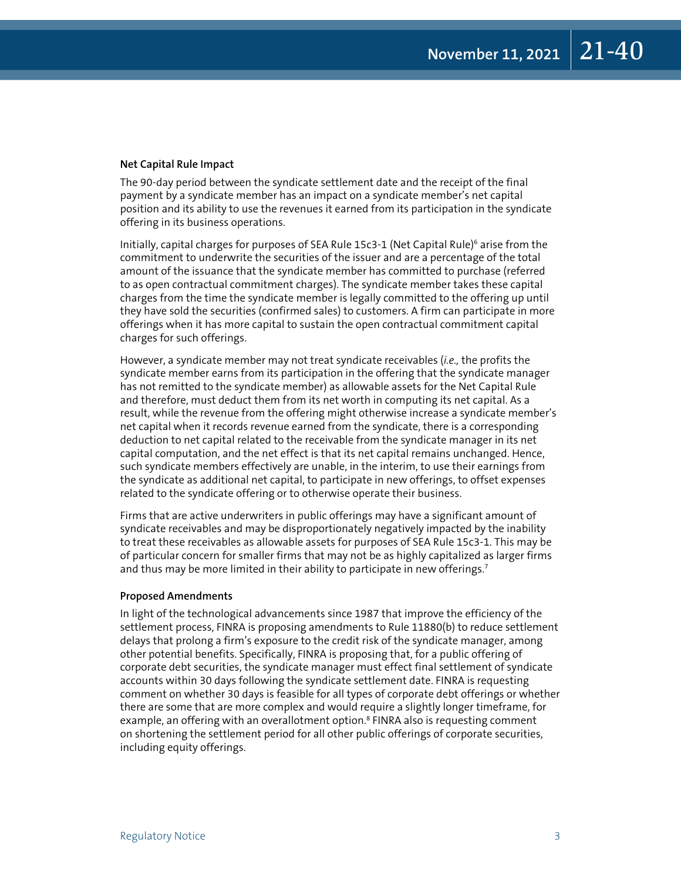#### **Net Capital Rule Impact**

The 90-day period between the syndicate settlement date and the receipt of the final payment by a syndicate member has an impact on a syndicate member's net capital position and its ability to use the revenues it earned from its participation in the syndicate offering in its business operations.

Initially, capital charges for purposes of SEA Rule 15c3-1 (Net Capital Rule)<sup>6</sup> arise from the commitment to underwrite the securities of the issuer and are a percentage of the total amount of the issuance that the syndicate member has committed to purchase (referred to as open contractual commitment charges). The syndicate member takes these capital charges from the time the syndicate member is legally committed to the offering up until they have sold the securities (confirmed sales) to customers. A firm can participate in more offerings when it has more capital to sustain the open contractual commitment capital charges for such offerings.

However, a syndicate member may not treat syndicate receivables (*i.e.,* the profits the syndicate member earns from its participation in the offering that the syndicate manager has not remitted to the syndicate member) as allowable assets for the Net Capital Rule and therefore, must deduct them from its net worth in computing its net capital. As a result, while the revenue from the offering might otherwise increase a syndicate member's net capital when it records revenue earned from the syndicate, there is a corresponding deduction to net capital related to the receivable from the syndicate manager in its net capital computation, and the net effect is that its net capital remains unchanged. Hence, such syndicate members effectively are unable, in the interim, to use their earnings from the syndicate as additional net capital, to participate in new offerings, to offset expenses related to the syndicate offering or to otherwise operate their business.

Firms that are active underwriters in public offerings may have a significant amount of syndicate receivables and may be disproportionately negatively impacted by the inability to treat these receivables as allowable assets for purposes of SEA Rule 15c3-1. This may be of particular concern for smaller firms that may not be as highly capitalized as larger firms and thus may be more limited in their ability to participate in new offerings.<sup>7</sup>

#### **Proposed Amendments**

In light of the technological advancements since 1987 that improve the efficiency of the settlement process, FINRA is proposing amendments to Rule 11880(b) to reduce settlement delays that prolong a firm's exposure to the credit risk of the syndicate manager, among other potential benefits. Specifically, FINRA is proposing that, for a public offering of corporate debt securities, the syndicate manager must effect final settlement of syndicate accounts within 30 days following the syndicate settlement date. FINRA is requesting comment on whether 30 days is feasible for all types of corporate debt offerings or whether there are some that are more complex and would require a slightly longer timeframe, for example, an offering with an overallotment option.<sup>8</sup> FINRA also is requesting comment on shortening the settlement period for all other public offerings of corporate securities, including equity offerings.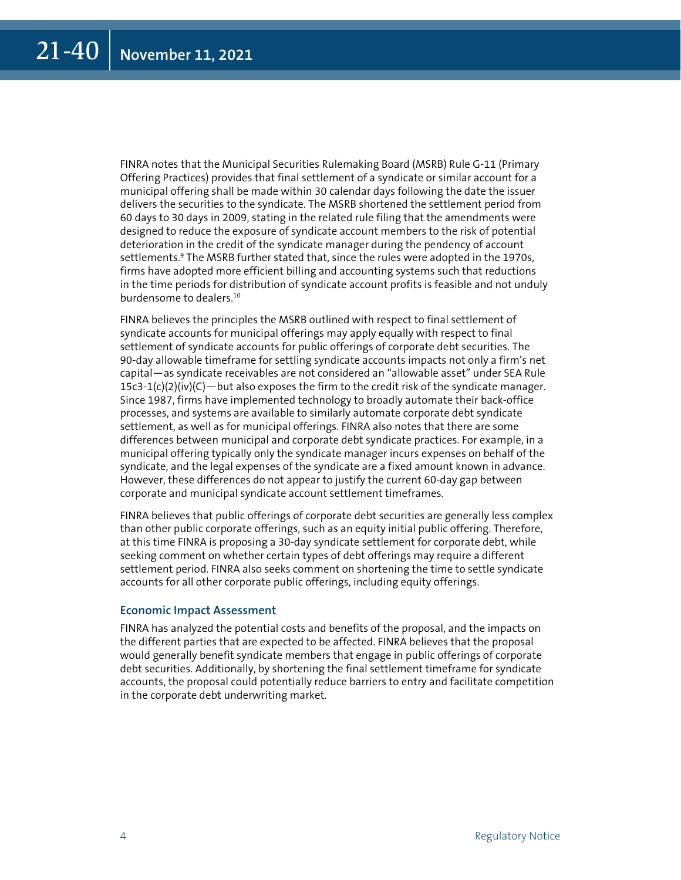FINRA notes that the Municipal Securities Rulemaking Board (MSRB) Rule G-11 (Primary Offering Practices) provides that final settlement of a syndicate or similar account for a municipal offering shall be made within 30 calendar days following the date the issuer delivers the securities to the syndicate. The MSRB shortened the settlement period from 60 days to 30 days in 2009, stating in the related rule filing that the amendments were designed to reduce the exposure of syndicate account members to the risk of potential deterioration in the credit of the syndicate manager during the pendency of account settlements.<sup>9</sup> The MSRB further stated that, since the rules were adopted in the 1970s, firms have adopted more efficient billing and accounting systems such that reductions in the time periods for distribution of syndicate account profits is feasible and not unduly burdensome to dealers.10

FINRA believes the principles the MSRB outlined with respect to final settlement of syndicate accounts for municipal offerings may apply equally with respect to final settlement of syndicate accounts for public offerings of corporate debt securities. The 90-day allowable timeframe for settling syndicate accounts impacts not only a firm's net capital—as syndicate receivables are not considered an "allowable asset" under SEA Rule  $15c3-1(c)(2)(iv)(C)$  — but also exposes the firm to the credit risk of the syndicate manager. Since 1987, firms have implemented technology to broadly automate their back-office processes, and systems are available to similarly automate corporate debt syndicate settlement, as well as for municipal offerings. FINRA also notes that there are some differences between municipal and corporate debt syndicate practices. For example, in a municipal offering typically only the syndicate manager incurs expenses on behalf of the syndicate, and the legal expenses of the syndicate are a fixed amount known in advance. However, these differences do not appear to justify the current 60-day gap between corporate and municipal syndicate account settlement timeframes.

FINRA believes that public offerings of corporate debt securities are generally less complex than other public corporate offerings, such as an equity initial public offering. Therefore, at this time FINRA is proposing a 30-day syndicate settlement for corporate debt, while seeking comment on whether certain types of debt offerings may require a different settlement period. FINRA also seeks comment on shortening the time to settle syndicate accounts for all other corporate public offerings, including equity offerings.

#### **Economic Impact Assessment**

FINRA has analyzed the potential costs and benefits of the proposal, and the impacts on the different parties that are expected to be affected. FINRA believes that the proposal would generally benefit syndicate members that engage in public offerings of corporate debt securities. Additionally, by shortening the final settlement timeframe for syndicate accounts, the proposal could potentially reduce barriers to entry and facilitate competition in the corporate debt underwriting market.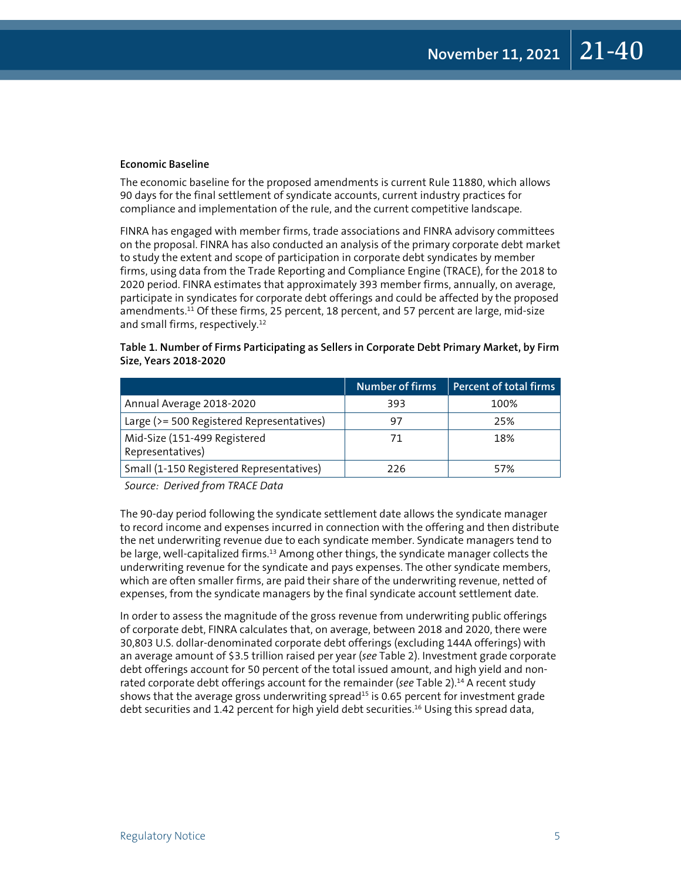#### **Economic Baseline**

The economic baseline for the proposed amendments is current Rule 11880, which allows 90 days for the final settlement of syndicate accounts, current industry practices for compliance and implementation of the rule, and the current competitive landscape.

FINRA has engaged with member firms, trade associations and FINRA advisory committees on the proposal. FINRA has also conducted an analysis of the primary corporate debt market to study the extent and scope of participation in corporate debt syndicates by member firms, using data from the Trade Reporting and Compliance Engine (TRACE), for the 2018 to 2020 period. FINRA estimates that approximately 393 member firms, annually, on average, participate in syndicates for corporate debt offerings and could be affected by the proposed amendments.<sup>11</sup> Of these firms, 25 percent, 18 percent, and 57 percent are large, mid-size and small firms, respectively.<sup>12</sup>

#### **Table 1. Number of Firms Participating as Sellers in Corporate Debt Primary Market, by Firm Size, Years 2018-2020**

|                                                  | <b>Number of firms</b> | Percent of total firms |
|--------------------------------------------------|------------------------|------------------------|
| Annual Average 2018-2020                         | 393                    | 100%                   |
| Large (>= 500 Registered Representatives)        | 97                     | 25%                    |
| Mid-Size (151-499 Registered<br>Representatives) | 71                     | 18%                    |
| Small (1-150 Registered Representatives)         | 226                    | 57%                    |

*Source: Derived from TRACE Data*

The 90-day period following the syndicate settlement date allows the syndicate manager to record income and expenses incurred in connection with the offering and then distribute the net underwriting revenue due to each syndicate member. Syndicate managers tend to be large, well-capitalized firms.<sup>13</sup> Among other things, the syndicate manager collects the underwriting revenue for the syndicate and pays expenses. The other syndicate members, which are often smaller firms, are paid their share of the underwriting revenue, netted of expenses, from the syndicate managers by the final syndicate account settlement date.

In order to assess the magnitude of the gross revenue from underwriting public offerings of corporate debt, FINRA calculates that, on average, between 2018 and 2020, there were 30,803 U.S. dollar-denominated corporate debt offerings (excluding 144A offerings) with an average amount of \$3.5 trillion raised per year (*see* Table 2). Investment grade corporate debt offerings account for 50 percent of the total issued amount, and high yield and nonrated corporate debt offerings account for the remainder (*see* Table 2).14 A recent study shows that the average gross underwriting spread<sup>15</sup> is 0.65 percent for investment grade debt securities and 1.42 percent for high yield debt securities.<sup>16</sup> Using this spread data,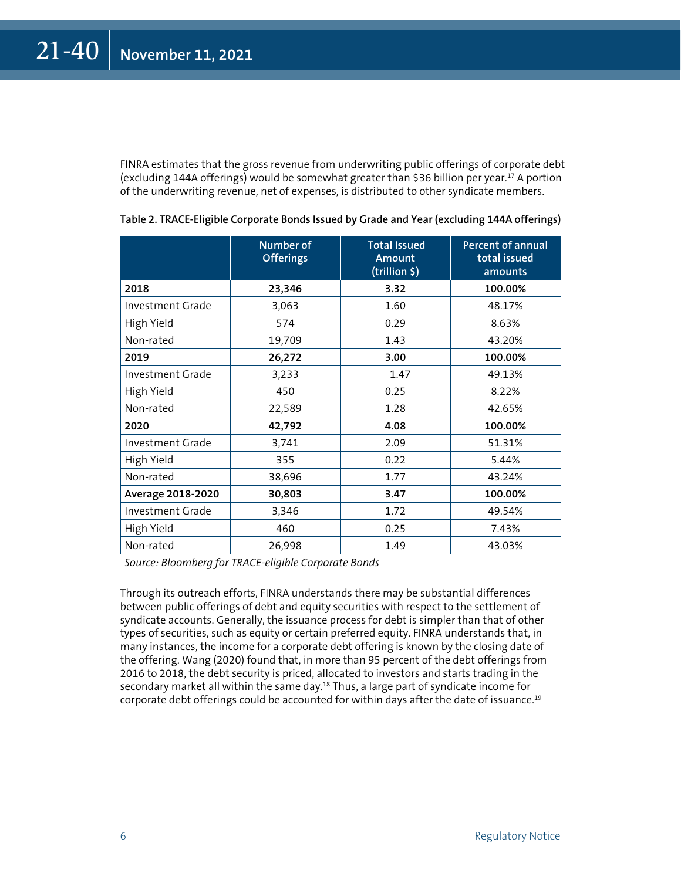FINRA estimates that the gross revenue from underwriting public offerings of corporate debt (excluding 144A offerings) would be somewhat greater than \$36 billion per year.17 A portion of the underwriting revenue, net of expenses, is distributed to other syndicate members.

|                         | <b>Number of</b><br><b>Offerings</b> | <b>Total Issued</b><br>Amount<br>(trillion \$) | <b>Percent of annual</b><br>total issued<br>amounts |
|-------------------------|--------------------------------------|------------------------------------------------|-----------------------------------------------------|
| 2018                    | 23,346                               | 3.32                                           | 100.00%                                             |
| <b>Investment Grade</b> | 3,063                                | 1.60                                           | 48.17%                                              |
| High Yield              | 574                                  | 0.29                                           | 8.63%                                               |
| Non-rated               | 19,709                               | 1.43                                           | 43.20%                                              |
| 2019                    | 26,272                               | 3.00                                           | 100.00%                                             |
| Investment Grade        | 3,233                                | 1.47                                           | 49.13%                                              |
| High Yield              | 450                                  | 0.25                                           | 8.22%                                               |
| Non-rated               | 22,589                               | 1.28                                           | 42.65%                                              |
| 2020                    | 42,792                               | 4.08                                           | 100.00%                                             |
| Investment Grade        | 3,741                                | 2.09                                           | 51.31%                                              |
| High Yield              | 355                                  | 0.22                                           | 5.44%                                               |
| Non-rated               | 38,696                               | 1.77                                           | 43.24%                                              |
| Average 2018-2020       | 30,803                               | 3.47                                           | 100.00%                                             |
| Investment Grade        | 3,346                                | 1.72                                           | 49.54%                                              |
| High Yield              | 460                                  | 0.25                                           | 7.43%                                               |
| Non-rated               | 26,998                               | 1.49                                           | 43.03%                                              |

**Table 2. TRACE-Eligible Corporate Bonds Issued by Grade and Year (excluding 144A offerings)**

*Source: Bloomberg for TRACE-eligible Corporate Bonds*

Through its outreach efforts, FINRA understands there may be substantial differences between public offerings of debt and equity securities with respect to the settlement of syndicate accounts. Generally, the issuance process for debt is simpler than that of other types of securities, such as equity or certain preferred equity. FINRA understands that, in many instances, the income for a corporate debt offering is known by the closing date of the offering. Wang (2020) found that, in more than 95 percent of the debt offerings from 2016 to 2018, the debt security is priced, allocated to investors and starts trading in the secondary market all within the same day.<sup>18</sup> Thus, a large part of syndicate income for corporate debt offerings could be accounted for within days after the date of issuance.19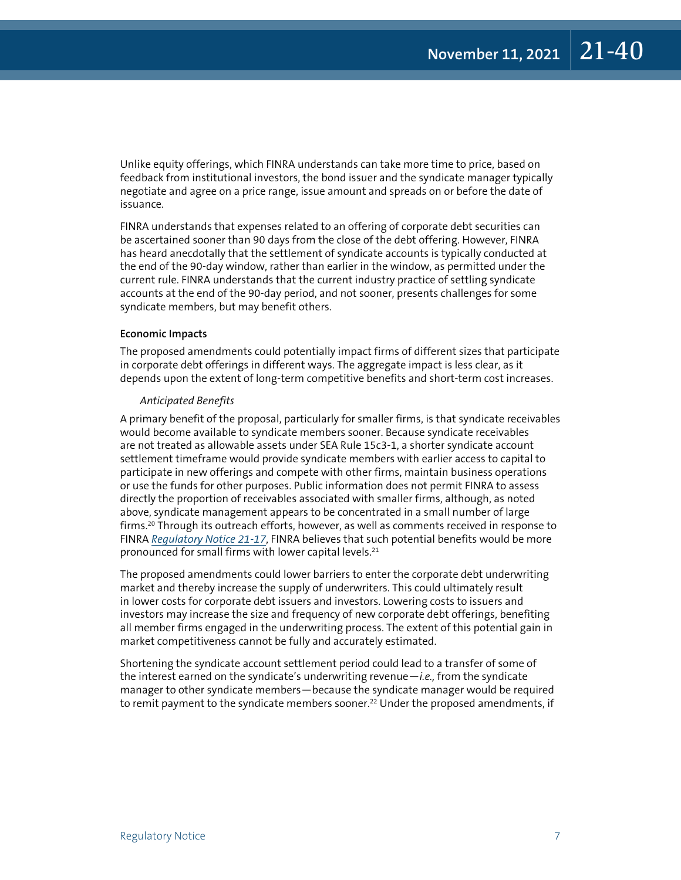Unlike equity offerings, which FINRA understands can take more time to price, based on feedback from institutional investors, the bond issuer and the syndicate manager typically negotiate and agree on a price range, issue amount and spreads on or before the date of issuance.

FINRA understands that expenses related to an offering of corporate debt securities can be ascertained sooner than 90 days from the close of the debt offering. However, FINRA has heard anecdotally that the settlement of syndicate accounts is typically conducted at the end of the 90-day window, rather than earlier in the window, as permitted under the current rule. FINRA understands that the current industry practice of settling syndicate accounts at the end of the 90-day period, and not sooner, presents challenges for some syndicate members, but may benefit others.

#### **Economic Impacts**

The proposed amendments could potentially impact firms of different sizes that participate in corporate debt offerings in different ways. The aggregate impact is less clear, as it depends upon the extent of long-term competitive benefits and short-term cost increases.

#### *Anticipated Benefits*

A primary benefit of the proposal, particularly for smaller firms, is that syndicate receivables would become available to syndicate members sooner. Because syndicate receivables are not treated as allowable assets under SEA Rule 15c3-1, a shorter syndicate account settlement timeframe would provide syndicate members with earlier access to capital to participate in new offerings and compete with other firms, maintain business operations or use the funds for other purposes. Public information does not permit FINRA to assess directly the proportion of receivables associated with smaller firms, although, as noted above, syndicate management appears to be concentrated in a small number of large firms.<sup>20</sup> Through its outreach efforts, however, as well as comments received in response to FINRA *[Regulatory Notice 21-17](https://www.finra.org/rules-guidance/notices/21-17)*, FINRA believes that such potential benefits would be more pronounced for small firms with lower capital levels.21

The proposed amendments could lower barriers to enter the corporate debt underwriting market and thereby increase the supply of underwriters. This could ultimately result in lower costs for corporate debt issuers and investors. Lowering costs to issuers and investors may increase the size and frequency of new corporate debt offerings, benefiting all member firms engaged in the underwriting process. The extent of this potential gain in market competitiveness cannot be fully and accurately estimated.

Shortening the syndicate account settlement period could lead to a transfer of some of the interest earned on the syndicate's underwriting revenue—*i.e.,* from the syndicate manager to other syndicate members—because the syndicate manager would be required to remit payment to the syndicate members sooner.<sup>22</sup> Under the proposed amendments, if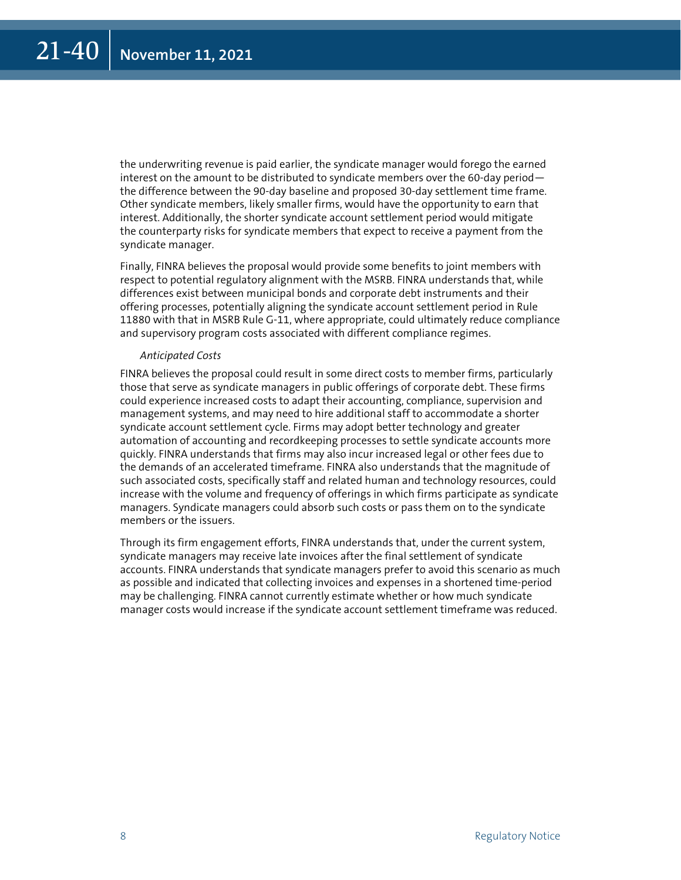the underwriting revenue is paid earlier, the syndicate manager would forego the earned interest on the amount to be distributed to syndicate members over the 60-day period the difference between the 90-day baseline and proposed 30-day settlement time frame. Other syndicate members, likely smaller firms, would have the opportunity to earn that interest. Additionally, the shorter syndicate account settlement period would mitigate the counterparty risks for syndicate members that expect to receive a payment from the syndicate manager.

Finally, FINRA believes the proposal would provide some benefits to joint members with respect to potential regulatory alignment with the MSRB. FINRA understands that, while differences exist between municipal bonds and corporate debt instruments and their offering processes, potentially aligning the syndicate account settlement period in Rule 11880 with that in MSRB Rule G-11, where appropriate, could ultimately reduce compliance and supervisory program costs associated with different compliance regimes.

#### *Anticipated Costs*

FINRA believes the proposal could result in some direct costs to member firms, particularly those that serve as syndicate managers in public offerings of corporate debt. These firms could experience increased costs to adapt their accounting, compliance, supervision and management systems, and may need to hire additional staff to accommodate a shorter syndicate account settlement cycle. Firms may adopt better technology and greater automation of accounting and recordkeeping processes to settle syndicate accounts more quickly. FINRA understands that firms may also incur increased legal or other fees due to the demands of an accelerated timeframe. FINRA also understands that the magnitude of such associated costs, specifically staff and related human and technology resources, could increase with the volume and frequency of offerings in which firms participate as syndicate managers. Syndicate managers could absorb such costs or pass them on to the syndicate members or the issuers.

Through its firm engagement efforts, FINRA understands that, under the current system, syndicate managers may receive late invoices after the final settlement of syndicate accounts. FINRA understands that syndicate managers prefer to avoid this scenario as much as possible and indicated that collecting invoices and expenses in a shortened time-period may be challenging. FINRA cannot currently estimate whether or how much syndicate manager costs would increase if the syndicate account settlement timeframe was reduced.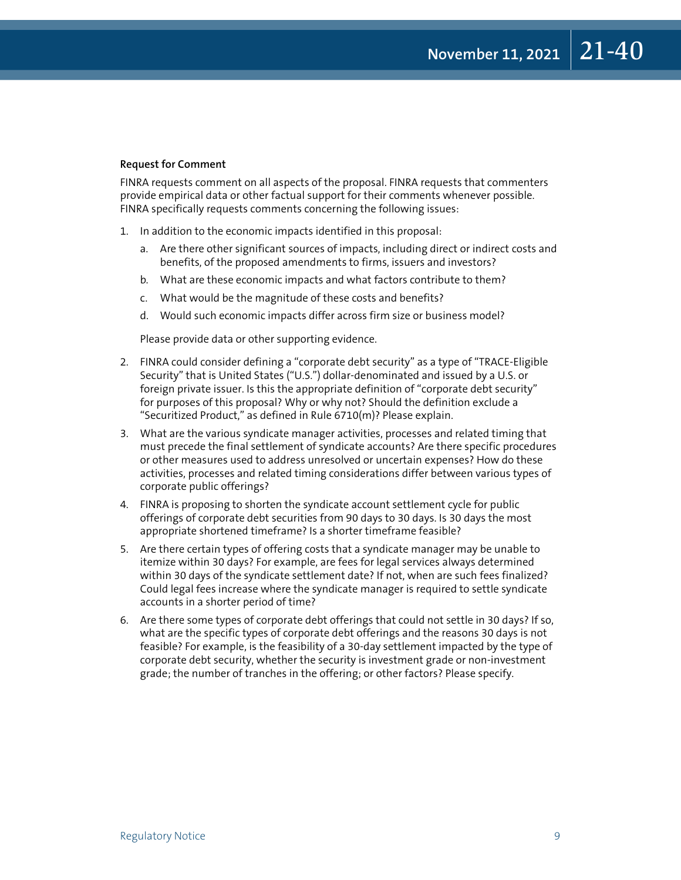#### **Request for Comment**

FINRA requests comment on all aspects of the proposal. FINRA requests that commenters provide empirical data or other factual support for their comments whenever possible. FINRA specifically requests comments concerning the following issues:

- 1. In addition to the economic impacts identified in this proposal:
	- a. Are there other significant sources of impacts, including direct or indirect costs and benefits, of the proposed amendments to firms, issuers and investors?
	- b. What are these economic impacts and what factors contribute to them?
	- c. What would be the magnitude of these costs and benefits?
	- d. Would such economic impacts differ across firm size or business model?

Please provide data or other supporting evidence.

- 2. FINRA could consider defining a "corporate debt security" as a type of "TRACE-Eligible Security" that is United States ("U.S.") dollar-denominated and issued by a U.S. or foreign private issuer. Is this the appropriate definition of "corporate debt security" for purposes of this proposal? Why or why not? Should the definition exclude a "Securitized Product," as defined in Rule 6710(m)? Please explain.
- 3. What are the various syndicate manager activities, processes and related timing that must precede the final settlement of syndicate accounts? Are there specific procedures or other measures used to address unresolved or uncertain expenses? How do these activities, processes and related timing considerations differ between various types of corporate public offerings?
- 4. FINRA is proposing to shorten the syndicate account settlement cycle for public offerings of corporate debt securities from 90 days to 30 days. Is 30 days the most appropriate shortened timeframe? Is a shorter timeframe feasible?
- 5. Are there certain types of offering costs that a syndicate manager may be unable to itemize within 30 days? For example, are fees for legal services always determined within 30 days of the syndicate settlement date? If not, when are such fees finalized? Could legal fees increase where the syndicate manager is required to settle syndicate accounts in a shorter period of time?
- 6. Are there some types of corporate debt offerings that could not settle in 30 days? If so, what are the specific types of corporate debt offerings and the reasons 30 days is not feasible? For example, is the feasibility of a 30-day settlement impacted by the type of corporate debt security, whether the security is investment grade or non-investment grade; the number of tranches in the offering; or other factors? Please specify.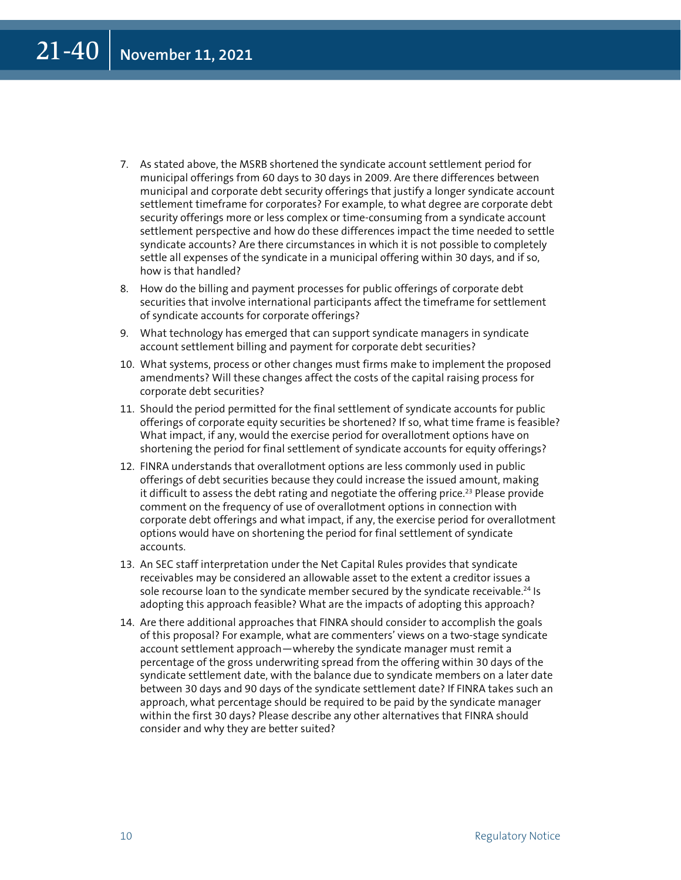- 7. As stated above, the MSRB shortened the syndicate account settlement period for municipal offerings from 60 days to 30 days in 2009. Are there differences between municipal and corporate debt security offerings that justify a longer syndicate account settlement timeframe for corporates? For example, to what degree are corporate debt security offerings more or less complex or time-consuming from a syndicate account settlement perspective and how do these differences impact the time needed to settle syndicate accounts? Are there circumstances in which it is not possible to completely settle all expenses of the syndicate in a municipal offering within 30 days, and if so, how is that handled?
- 8. How do the billing and payment processes for public offerings of corporate debt securities that involve international participants affect the timeframe for settlement of syndicate accounts for corporate offerings?
- 9. What technology has emerged that can support syndicate managers in syndicate account settlement billing and payment for corporate debt securities?
- 10. What systems, process or other changes must firms make to implement the proposed amendments? Will these changes affect the costs of the capital raising process for corporate debt securities?
- 11. Should the period permitted for the final settlement of syndicate accounts for public offerings of corporate equity securities be shortened? If so, what time frame is feasible? What impact, if any, would the exercise period for overallotment options have on shortening the period for final settlement of syndicate accounts for equity offerings?
- 12. FINRA understands that overallotment options are less commonly used in public offerings of debt securities because they could increase the issued amount, making it difficult to assess the debt rating and negotiate the offering price.<sup>23</sup> Please provide comment on the frequency of use of overallotment options in connection with corporate debt offerings and what impact, if any, the exercise period for overallotment options would have on shortening the period for final settlement of syndicate accounts.
- 13. An SEC staff interpretation under the Net Capital Rules provides that syndicate receivables may be considered an allowable asset to the extent a creditor issues a sole recourse loan to the syndicate member secured by the syndicate receivable.<sup>24</sup> Is adopting this approach feasible? What are the impacts of adopting this approach?
- 14. Are there additional approaches that FINRA should consider to accomplish the goals of this proposal? For example, what are commenters' views on a two-stage syndicate account settlement approach—whereby the syndicate manager must remit a percentage of the gross underwriting spread from the offering within 30 days of the syndicate settlement date, with the balance due to syndicate members on a later date between 30 days and 90 days of the syndicate settlement date? If FINRA takes such an approach, what percentage should be required to be paid by the syndicate manager within the first 30 days? Please describe any other alternatives that FINRA should consider and why they are better suited?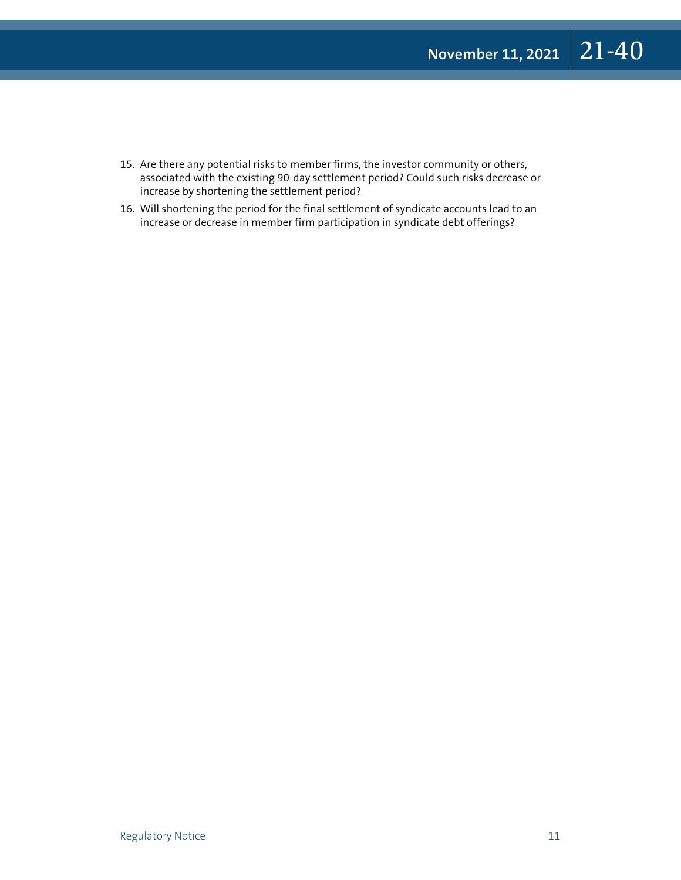- 15. Are there any potential risks to member firms, the investor community or others, associated with the existing 90-day settlement period? Could such risks decrease or increase by shortening the settlement period?
- 16. Will shortening the period for the final settlement of syndicate accounts lead to an increase or decrease in member firm participation in syndicate debt offerings?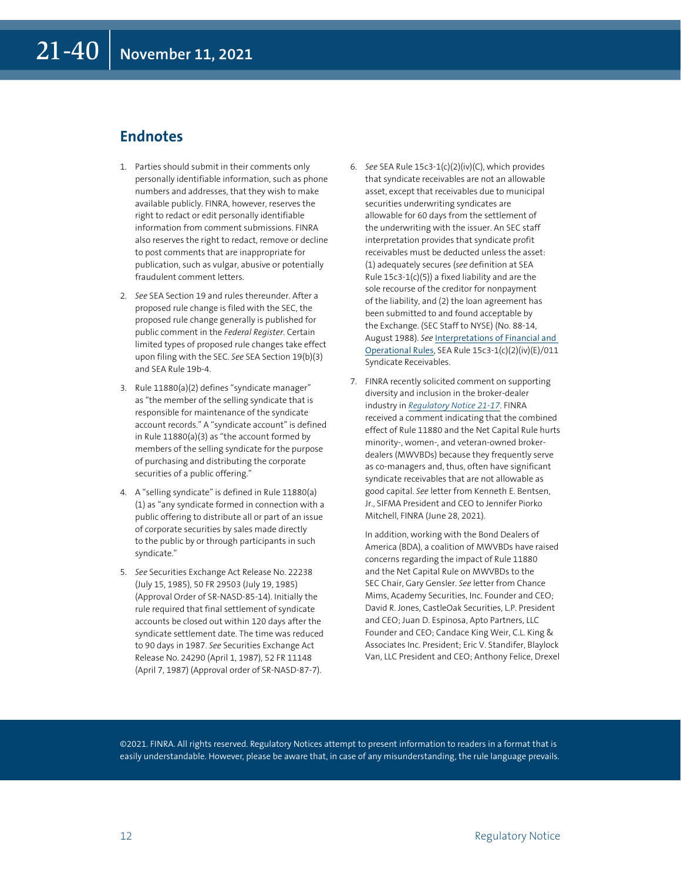### **Endnotes**

- 1. Parties should submit in their comments only personally identifiable information, such as phone numbers and addresses, that they wish to make available publicly. FINRA, however, reserves the right to redact or edit personally identifiable information from comment submissions. FINRA also reserves the right to redact, remove or decline to post comments that are inappropriate for publication, such as vulgar, abusive or potentially fraudulent comment letters.
- 2. *See* SEA Section 19 and rules thereunder. After a proposed rule change is filed with the SEC, the proposed rule change generally is published for public comment in the *Federal Register*. Certain limited types of proposed rule changes take effect upon filing with the SEC. *See* SEA Section 19(b)(3) and SEA Rule 19b-4.
- 3. Rule 11880(a)(2) defines "syndicate manager" as "the member of the selling syndicate that is responsible for maintenance of the syndicate account records." A "syndicate account" is defined in Rule 11880(a)(3) as "the account formed by members of the selling syndicate for the purpose of purchasing and distributing the corporate securities of a public offering."
- 4. A "selling syndicate" is defined in Rule 11880(a) (1) as "any syndicate formed in connection with a public offering to distribute all or part of an issue of corporate securities by sales made directly to the public by or through participants in such syndicate."
- 5. See Securities Exchange Act Release No. 22238 (July 15, 1985), 50 FR 29503 (July 19, 1985) (Approval Order of SR-NASD-85-14). Initially the rule required that final settlement of syndicate accounts be closed out within 120 days after the syndicate settlement date. The time was reduced to 90 days in 1987. *See* Securities Exchange Act Release No. 24290 (April 1, 1987), 52 FR 11148 (April 7, 1987) (Approval order of SR-NASD-87-7).
- 6. *See* SEA Rule 15c3-1(c)(2)(iv)(C), which provides that syndicate receivables are not an allowable asset, except that receivables due to municipal securities underwriting syndicates are allowable for 60 days from the settlement of the underwriting with the issuer. An SEC staff interpretation provides that syndicate profit receivables must be deducted unless the asset: (1) adequately secures (*see* definition at SEA Rule 15c3-1(c)(5)) a fixed liability and are the sole recourse of the creditor for nonpayment of the liability, and (2) the loan agreement has been submitted to and found acceptable by the Exchange. (SEC Staff to NYSE) (No. 88-14, August 1988). *See* [Interpretations of Financial and](https://www.finra.org/sites/default/files/sea-rule-15c3-1-interpretations.pdf)  [Operational Rules](https://www.finra.org/sites/default/files/sea-rule-15c3-1-interpretations.pdf), SEA Rule 15c3-1(c)(2)(iv)(E)/011 Syndicate Receivables.
- 7. FINRA recently solicited comment on supporting diversity and inclusion in the broker-dealer industry in *[Regulatory Notice 21-17](https://www.finra.org/rules-guidance/notices/21-17)*. FINRA received a comment indicating that the combined effect of Rule 11880 and the Net Capital Rule hurts minority-, women-, and veteran-owned brokerdealers (MWVBDs) because they frequently serve as co-managers and, thus, often have significant syndicate receivables that are not allowable as good capital. *See* letter from Kenneth E. Bentsen, Jr., SIFMA President and CEO to Jennifer Piorko Mitchell, FINRA (June 28, 2021).

 In addition, working with the Bond Dealers of America (BDA), a coalition of MWVBDs have raised concerns regarding the impact of Rule 11880 and the Net Capital Rule on MWVBDs to the SEC Chair, Gary Gensler. *See* letter from Chance Mims, Academy Securities, Inc. Founder and CEO; David R. Jones, CastleOak Securities, L.P. President and CEO; Juan D. Espinosa, Apto Partners, LLC Founder and CEO; Candace King Weir, C.L. King & Associates Inc. President; Eric V. Standifer, Blaylock Van, LLC President and CEO; Anthony Felice, Drexel

©2021. FINRA. All rights reserved. Regulatory Notices attempt to present information to readers in a format that is easily understandable. However, please be aware that, in case of any misunderstanding, the rule language prevails.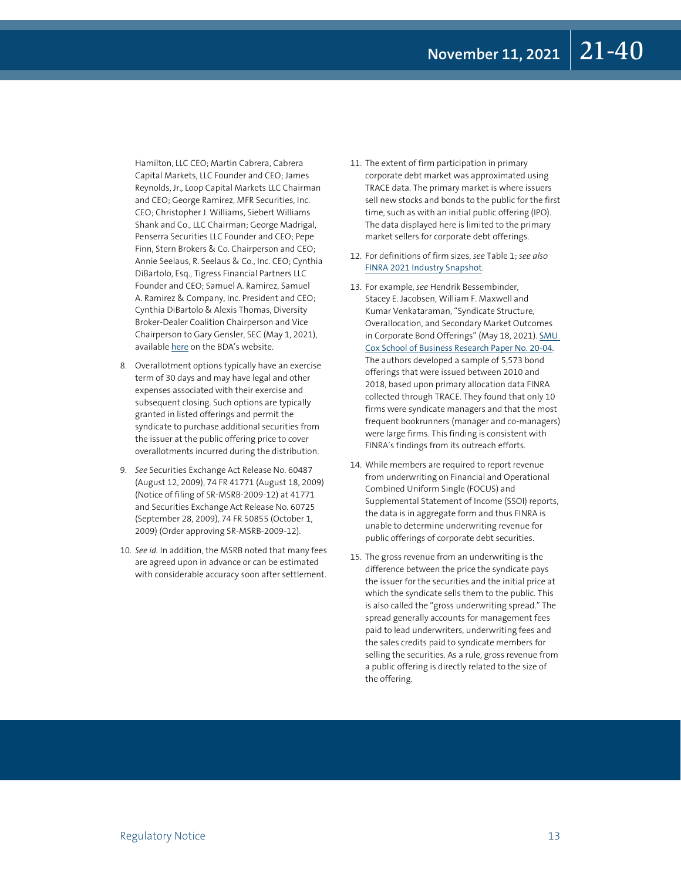Hamilton, LLC CEO; Martin Cabrera, Cabrera Capital Markets, LLC Founder and CEO; James Reynolds, Jr., Loop Capital Markets LLC Chairman and CEO; George Ramirez, MFR Securities, Inc. CEO; Christopher J. Williams, Siebert Williams Shank and Co., LLC Chairman; George Madrigal, Penserra Securities LLC Founder and CEO; Pepe Finn, Stern Brokers & Co. Chairperson and CEO; Annie Seelaus, R. Seelaus & Co., Inc. CEO; Cynthia DiBartolo, Esq., Tigress Financial Partners LLC Founder and CEO; Samuel A. Ramirez, Samuel A. Ramirez & Company, Inc. President and CEO; Cynthia DiBartolo & Alexis Thomas, Diversity Broker-Dealer Coalition Chairperson and Vice Chairperson to Gary Gensler, SEC (May 1, 2021), available [here](https://d31hzlhk6di2h5.cloudfront.net/20210521/a7/15/97/19/5ea0d7aef589bb4966d30ac1/CEO_Letter_to_SEC_on_Corp_Syndicate_issue_051321.pdf) on the BDA's website.

- 8. Overallotment options typically have an exercise term of 30 days and may have legal and other expenses associated with their exercise and subsequent closing. Such options are typically granted in listed offerings and permit the syndicate to purchase additional securities from the issuer at the public offering price to cover overallotments incurred during the distribution.
- 9. See Securities Exchange Act Release No. 60487 (August 12, 2009), 74 FR 41771 (August 18, 2009) (Notice of filing of SR-MSRB-2009-12) at 41771 and Securities Exchange Act Release No. 60725 (September 28, 2009), 74 FR 50855 (October 1, 2009) (Order approving SR-MSRB-2009-12).
- 10. See id. In addition, the MSRB noted that many fees are agreed upon in advance or can be estimated with considerable accuracy soon after settlement.
- 11. The extent of firm participation in primary corporate debt market was approximated using TRACE data. The primary market is where issuers sell new stocks and bonds to the public for the first time, such as with an initial public offering (IPO). The data displayed here is limited to the primary market sellers for corporate debt offerings.
- 12. For definitions of firm sizes, *see* Table 1; *see also* [FINRA 2021 Industry Snapshot](https://www.finra.org/rules-guidance/guidance/reports-studies/2021-industry-snapshot).
- 13. For example, see Hendrik Bessembinder, Stacey E. Jacobsen, William F. Maxwell and Kumar Venkataraman, "Syndicate Structure, Overallocation, and Secondary Market Outcomes in Corporate Bond Offerings" (May 18, 2021). SMU [Cox School of Business Research Paper No. 20-04](https://ssrn.com/abstract=3611056). The authors developed a sample of 5,573 bond offerings that were issued between 2010 and 2018, based upon primary allocation data FINRA collected through TRACE. They found that only 10 firms were syndicate managers and that the most frequent bookrunners (manager and co-managers) were large firms. This finding is consistent with FINRA's findings from its outreach efforts.
- 14. While members are required to report revenue from underwriting on Financial and Operational Combined Uniform Single (FOCUS) and Supplemental Statement of Income (SSOI) reports, the data is in aggregate form and thus FINRA is unable to determine underwriting revenue for public offerings of corporate debt securities.
- 15. The gross revenue from an underwriting is the difference between the price the syndicate pays the issuer for the securities and the initial price at which the syndicate sells them to the public. This is also called the "gross underwriting spread." The spread generally accounts for management fees paid to lead underwriters, underwriting fees and the sales credits paid to syndicate members for selling the securities. As a rule, gross revenue from a public offering is directly related to the size of the offering.